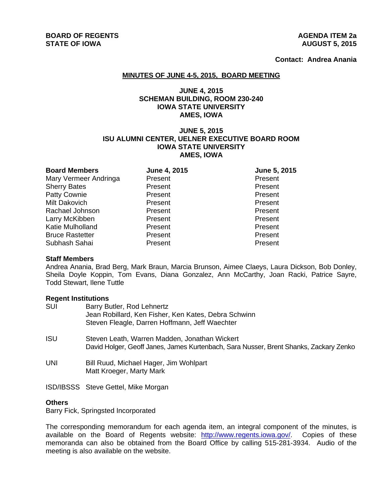**Contact: Andrea Anania**

#### **MINUTES OF JUNE 4-5, 2015, BOARD MEETING**

# **JUNE 4, 2015 SCHEMAN BUILDING, ROOM 230-240 IOWA STATE UNIVERSITY AMES, IOWA**

# **JUNE 5, 2015 ISU ALUMNI CENTER, UELNER EXECUTIVE BOARD ROOM IOWA STATE UNIVERSITY AMES, IOWA**

| June 4, 2015 | June 5, 2015 |
|--------------|--------------|
| Present      | Present      |
| Present      | Present      |
| Present      | Present      |
| Present      | Present      |
| Present      | Present      |
| Present      | Present      |
| Present      | Present      |
| Present      | Present      |
| Present      | Present      |
|              |              |

#### **Staff Members**

Andrea Anania, Brad Berg, Mark Braun, Marcia Brunson, Aimee Claeys, Laura Dickson, Bob Donley, Sheila Doyle Koppin, Tom Evans, Diana Gonzalez, Ann McCarthy, Joan Racki, Patrice Sayre, Todd Stewart, Ilene Tuttle

#### **Regent Institutions**

| <b>SUI</b> | Barry Butler, Rod Lehnertz<br>Jean Robillard, Ken Fisher, Ken Kates, Debra Schwinn<br>Steven Fleagle, Darren Hoffmann, Jeff Waechter   |
|------------|----------------------------------------------------------------------------------------------------------------------------------------|
| <b>ISU</b> | Steven Leath, Warren Madden, Jonathan Wickert<br>David Holger, Geoff Janes, James Kurtenbach, Sara Nusser, Brent Shanks, Zackary Zenko |
| <b>UNI</b> | Bill Ruud, Michael Hager, Jim Wohlpart<br>Matt Kroeger, Marty Mark                                                                     |
|            | ISD/IBSSS Steve Gettel, Mike Morgan                                                                                                    |

# **Others**

Barry Fick, Springsted Incorporated

The corresponding memorandum for each agenda item, an integral component of the minutes, is available on the Board of Regents website: http://www.regents.iowa.gov/. Copies of these memoranda can also be obtained from the Board Office by calling 515-281-3934. Audio of the meeting is also available on the website.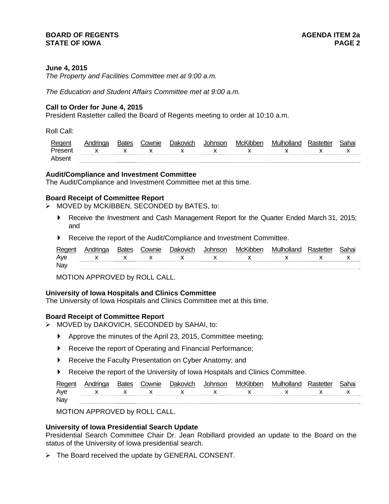## **BOARD OF REGENTS AGENER AGENERAL LIMIT CONTROL STATE OF IOWA** PAGE 2

## **June 4, 2015**

*The Property and Facilities Committee met at 9:00 a.m.* 

*The Education and Student Affairs Committee met at 9:00 a.m.* 

#### **Call to Order for June 4, 2015**

President Rastetter called the Board of Regents meeting to order at 10:10 a.m.

Roll Call:

| Regent  | Andringa       | <b>Bates</b> | `ownie       | Jakovich     | Johnsor      | McKibber    | Mulholland  | Rastetter | 3ahai |
|---------|----------------|--------------|--------------|--------------|--------------|-------------|-------------|-----------|-------|
| Present | $\mathsf{x}$ x |              | $\mathbf{x}$ | $\mathbf{x}$ | $\mathbf{x}$ | $\mathbf x$ | $\mathbf x$ |           |       |
| Abser   |                |              |              |              |              |             |             |           |       |

#### **Audit/Compliance and Investment Committee**

The Audit/Compliance and Investment Committee met at this time.

#### **Board Receipt of Committee Report**

- $\triangleright$  MOVED by MCKIBBEN, SECONDED by BATES, to:
	- Receive the Investment and Cash Management Report for the Quarter Ended March 31, 2015; and
	- Receive the report of the Audit/Compliance and Investment Committee.

| Regent | <b>Bates</b> | Cownie | Dakovich      | McKibber | Mulholland                    | iahai |
|--------|--------------|--------|---------------|----------|-------------------------------|-------|
| Aye    |              |        | x x x x x x x |          | $\mathsf{X}$ and $\mathsf{X}$ |       |
| Nay    |              |        |               |          |                               |       |

MOTION APPROVED by ROLL CALL.

#### **University of Iowa Hospitals and Clinics Committee**

The University of Iowa Hospitals and Clinics Committee met at this time.

#### **Board Receipt of Committee Report**

- MOVED by DAKOVICH, SECONDED by SAHAI, to:
	- Approve the minutes of the April 23, 2015, Committee meeting;
	- Receive the report of Operating and Financial Performance;
	- Receive the Faculty Presentation on Cyber Anatomy; and
	- Receive the report of the University of Iowa Hospitals and Clinics Committee.

| Reg | 1162 | `ownie | שמנ | MC. | Mulho<br>'n<br>วแลเ | aha: |
|-----|------|--------|-----|-----|---------------------|------|
| Aye |      |        |     |     |                     | . .  |
| Nay |      |        |     |     |                     |      |

MOTION APPROVED by ROLL CALL.

#### **University of Iowa Presidential Search Update**

Presidential Search Committee Chair Dr. Jean Robillard provided an update to the Board on the status of the University of Iowa presidential search.

 $\triangleright$  The Board received the update by GENERAL CONSENT.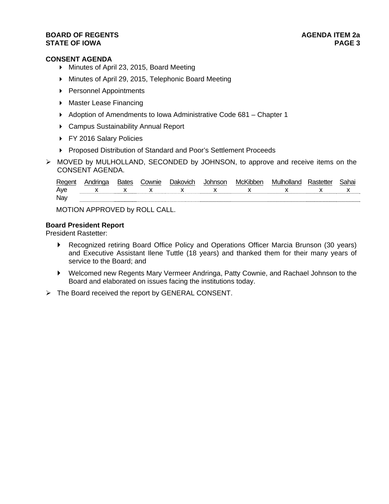### **BOARD OF REGENTS** AGENERAL MEDICINE AGENERAL MEDICINE AGENERAL MEDICINE AGENERAL MEDICINE AGENERAL MEDICINE AGENERAL MEDICINE AGENERAL MEDICINE AGENERAL MEDICINE AGENERAL MEDICINE AGENERAL MEDICINE AGENERAL MEDICINE AGENE **STATE OF IOWA** PAGE 3

# **CONSENT AGENDA**

- Minutes of April 23, 2015, Board Meeting
- Minutes of April 29, 2015, Telephonic Board Meeting
- **Personnel Appointments**
- ▶ Master Lease Financing
- Adoption of Amendments to Iowa Administrative Code 681 Chapter 1
- ▶ Campus Sustainability Annual Report
- ▶ FY 2016 Salary Policies
- ▶ Proposed Distribution of Standard and Poor's Settlement Proceeds
- MOVED by MULHOLLAND, SECONDED by JOHNSON, to approve and receive items on the CONSENT AGENDA.

| Regent | Andringa | Bates | Cownie Dakovich | <b>Johnson</b> | McKibben | I Mulholland Rastetter | Sahai |
|--------|----------|-------|-----------------|----------------|----------|------------------------|-------|
| Aye    |          |       |                 |                |          | x x x x x x x x x      |       |
| Nay    |          |       |                 |                |          |                        |       |

MOTION APPROVED by ROLL CALL.

# **Board President Report**

President Rastetter:

- Recognized retiring Board Office Policy and Operations Officer Marcia Brunson (30 years) and Executive Assistant Ilene Tuttle (18 years) and thanked them for their many years of service to the Board; and
- Welcomed new Regents Mary Vermeer Andringa, Patty Cownie, and Rachael Johnson to the Board and elaborated on issues facing the institutions today.
- $\triangleright$  The Board received the report by GENERAL CONSENT.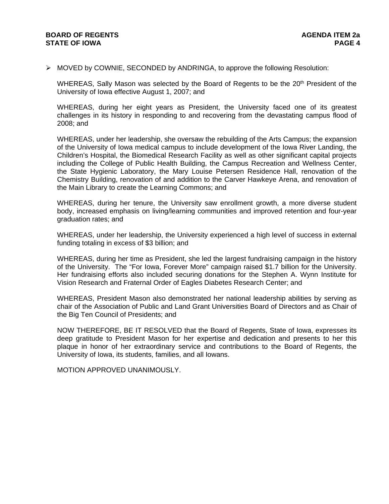## **BOARD OF REGENTS AGENUS AGENDA ITEM 2a STATE OF IOWA** PAGE 4

MOVED by COWNIE, SECONDED by ANDRINGA, to approve the following Resolution:

WHEREAS, Sally Mason was selected by the Board of Regents to be the 20<sup>th</sup> President of the University of Iowa effective August 1, 2007; and

WHEREAS, during her eight years as President, the University faced one of its greatest challenges in its history in responding to and recovering from the devastating campus flood of 2008; and

WHEREAS, under her leadership, she oversaw the rebuilding of the Arts Campus; the expansion of the University of Iowa medical campus to include development of the Iowa River Landing, the Children's Hospital, the Biomedical Research Facility as well as other significant capital projects including the College of Public Health Building, the Campus Recreation and Wellness Center, the State Hygienic Laboratory, the Mary Louise Petersen Residence Hall, renovation of the Chemistry Building, renovation of and addition to the Carver Hawkeye Arena, and renovation of the Main Library to create the Learning Commons; and

WHEREAS, during her tenure, the University saw enrollment growth, a more diverse student body, increased emphasis on living/learning communities and improved retention and four-year graduation rates; and

WHEREAS, under her leadership, the University experienced a high level of success in external funding totaling in excess of \$3 billion; and

WHEREAS, during her time as President, she led the largest fundraising campaign in the history of the University. The "For Iowa, Forever More" campaign raised \$1.7 billion for the University. Her fundraising efforts also included securing donations for the Stephen A. Wynn Institute for Vision Research and Fraternal Order of Eagles Diabetes Research Center; and

WHEREAS, President Mason also demonstrated her national leadership abilities by serving as chair of the Association of Public and Land Grant Universities Board of Directors and as Chair of the Big Ten Council of Presidents; and

NOW THEREFORE, BE IT RESOLVED that the Board of Regents, State of Iowa, expresses its deep gratitude to President Mason for her expertise and dedication and presents to her this plaque in honor of her extraordinary service and contributions to the Board of Regents, the University of Iowa, its students, families, and all Iowans.

MOTION APPROVED UNANIMOUSLY.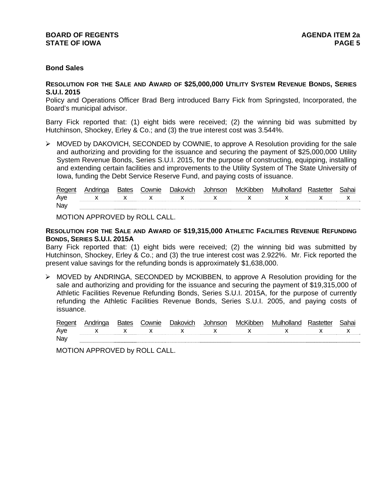## **BOARD OF REGENTS AGENER AGENERAL LIMIT CONTROL STATE OF IOWA** PAGE 5

# **Bond Sales**

#### **RESOLUTION FOR THE SALE AND AWARD OF \$25,000,000 UTILITY SYSTEM REVENUE BONDS, SERIES S.U.I. 2015**

Policy and Operations Officer Brad Berg introduced Barry Fick from Springsted, Incorporated, the Board's municipal advisor.

Barry Fick reported that: (1) eight bids were received; (2) the winning bid was submitted by Hutchinson, Shockey, Erley & Co.; and (3) the true interest cost was 3.544%.

 MOVED by DAKOVICH, SECONDED by COWNIE, to approve A Resolution providing for the sale and authorizing and providing for the issuance and securing the payment of \$25,000,000 Utility System Revenue Bonds, Series S.U.I. 2015, for the purpose of constructing, equipping, installing and extending certain facilities and improvements to the Utility System of The State University of Iowa, funding the Debt Service Reserve Fund, and paying costs of issuance.

| Regen |  | 'ownie | שביו | ınsor | MCK. | ollanc<br>11/11 11 h <i>t</i> |  |
|-------|--|--------|------|-------|------|-------------------------------|--|
| Ave   |  |        |      |       |      | . .                           |  |
| Nay   |  |        |      |       |      |                               |  |

MOTION APPROVED by ROLL CALL.

**RESOLUTION FOR THE SALE AND AWARD OF \$19,315,000 ATHLETIC FACILITIES REVENUE REFUNDING BONDS, SERIES S.U.I. 2015A** 

Barry Fick reported that: (1) eight bids were received; (2) the winning bid was submitted by Hutchinson, Shockey, Erley & Co.; and (3) the true interest cost was 2.922%. Mr. Fick reported the present value savings for the refunding bonds is approximately \$1,638,000.

 MOVED by ANDRINGA, SECONDED by MCKIBBEN, to approve A Resolution providing for the sale and authorizing and providing for the issuance and securing the payment of \$19,315,000 of Athletic Facilities Revenue Refunding Bonds, Series S.U.I. 2015A, for the purpose of currently refunding the Athletic Facilities Revenue Bonds, Series S.U.I. 2005, and paying costs of issuance.

| Regent | Andrinaa | <b>Bates</b> | Cownie | Dakovich | Johnson | McKibben | Mulholland | Rastetter | Sahai |
|--------|----------|--------------|--------|----------|---------|----------|------------|-----------|-------|
| Ave    |          |              |        |          |         |          |            |           |       |
| Nay    |          |              |        |          |         |          |            |           |       |

MOTION APPROVED by ROLL CALL.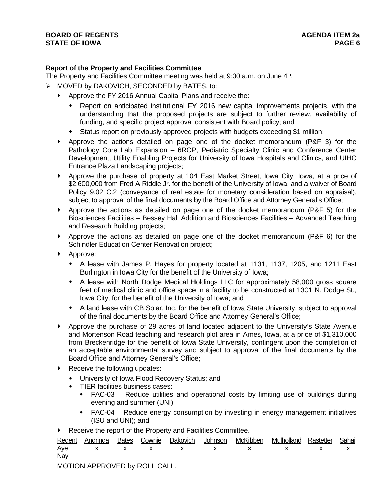# **Report of the Property and Facilities Committee**

The Property and Facilities Committee meeting was held at 9:00 a.m. on June 4<sup>th</sup>.

- $\triangleright$  MOVED by DAKOVICH, SECONDED by BATES, to:
	- Approve the FY 2016 Annual Capital Plans and receive the:
		- Report on anticipated institutional FY 2016 new capital improvements projects, with the understanding that the proposed projects are subject to further review, availability of funding, and specific project approval consistent with Board policy; and
		- Status report on previously approved projects with budgets exceeding \$1 million;
	- Approve the actions detailed on page one of the docket memorandum (P&F 3) for the Pathology Core Lab Expansion – 6RCP, Pediatric Specialty Clinic and Conference Center Development, Utility Enabling Projects for University of Iowa Hospitals and Clinics, and UIHC Entrance Plaza Landscaping projects;
	- Approve the purchase of property at 104 East Market Street, Iowa City, Iowa, at a price of \$2,600,000 from Fred A Riddle Jr. for the benefit of the University of Iowa, and a waiver of Board Policy 9.02 C.2 (conveyance of real estate for monetary consideration based on appraisal), subject to approval of the final documents by the Board Office and Attorney General's Office;
	- Approve the actions as detailed on page one of the docket memorandum (P&F 5) for the Biosciences Facilities – Bessey Hall Addition and Biosciences Facilities – Advanced Teaching and Research Building projects;
	- Approve the actions as detailed on page one of the docket memorandum (P&F 6) for the Schindler Education Center Renovation project;
	- ▶ Approve:
		- A lease with James P. Hayes for property located at 1131, 1137, 1205, and 1211 East Burlington in Iowa City for the benefit of the University of Iowa;
		- A lease with North Dodge Medical Holdings LLC for approximately 58,000 gross square feet of medical clinic and office space in a facility to be constructed at 1301 N. Dodge St., Iowa City, for the benefit of the University of Iowa; and
		- A land lease with CB Solar, Inc. for the benefit of Iowa State University, subject to approval of the final documents by the Board Office and Attorney General's Office;
	- Approve the purchase of 29 acres of land located adjacent to the University's State Avenue and Mortenson Road teaching and research plot area in Ames, Iowa, at a price of \$1,310,000 from Breckenridge for the benefit of Iowa State University, contingent upon the completion of an acceptable environmental survey and subject to approval of the final documents by the Board Office and Attorney General's Office;
	- Receive the following updates:
		- University of Iowa Flood Recovery Status; and
		- TIER facilities business cases:
			- FAC-03 Reduce utilities and operational costs by limiting use of buildings during evening and summer (UNI)
			- FAC-04 Reduce energy consumption by investing in energy management initiatives (ISU and UNI); and
	- Receive the report of the Property and Facilities Committee.

| Regent |              | ownie; | ∩ak∩vich | McKibben | Mulholland | 3ahai |
|--------|--------------|--------|----------|----------|------------|-------|
| Aye    | $\mathbf{x}$ |        |          |          |            | ́     |
| Nay    |              |        |          |          |            |       |

MOTION APPROVED by ROLL CALL.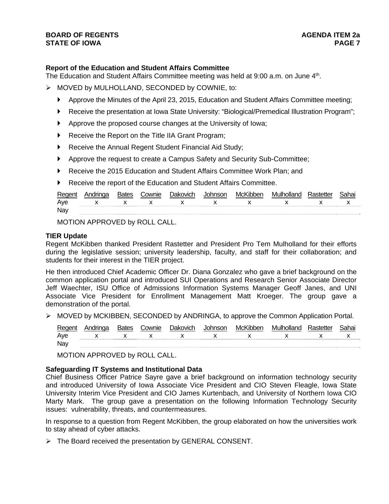# **Report of the Education and Student Affairs Committee**

The Education and Student Affairs Committee meeting was held at 9:00 a.m. on June 4<sup>th</sup>.

- $\triangleright$  MOVED by MULHOLLAND, SECONDED by COWNIE, to:
	- Approve the Minutes of the April 23, 2015, Education and Student Affairs Committee meeting;
	- Receive the presentation at Iowa State University: "Biological/Premedical Illustration Program";
	- Approve the proposed course changes at the University of Iowa;
	- ▶ Receive the Report on the Title IIA Grant Program;
	- ▶ Receive the Annual Regent Student Financial Aid Study;
	- Approve the request to create a Campus Safety and Security Sub-Committee;
	- Receive the 2015 Education and Student Affairs Committee Work Plan; and
	- Receive the report of the Education and Student Affairs Committee.

| Regen | Andringa | <b>Bates</b> | `ownie | Dakovich | <b>Inhnenr</b> | <b>Thhen</b><br>McK | Mulholland | iahai |
|-------|----------|--------------|--------|----------|----------------|---------------------|------------|-------|
| Ave   |          |              |        |          |                |                     |            | . .   |
| Nay   |          |              |        |          |                |                     |            |       |

MOTION APPROVED by ROLL CALL.

#### **TIER Update**

Regent McKibben thanked President Rastetter and President Pro Tem Mulholland for their efforts during the legislative session; university leadership, faculty, and staff for their collaboration; and students for their interest in the TIER project.

He then introduced Chief Academic Officer Dr. Diana Gonzalez who gave a brief background on the common application portal and introduced SUI Operations and Research Senior Associate Director Jeff Waechter, ISU Office of Admissions Information Systems Manager Geoff Janes, and UNI Associate Vice President for Enrollment Management Matt Kroeger. The group gave a demonstration of the portal.

 $\triangleright$  MOVED by MCKIBBEN, SECONDED by ANDRINGA, to approve the Common Application Portal.

| Regent | Andringa | <b>Bates</b> | Cownie | <b>Dakovich</b> | . Inhnsor | McKibber | Mulholland          | Rastetter | Sahai |
|--------|----------|--------------|--------|-----------------|-----------|----------|---------------------|-----------|-------|
| Ave    |          |              |        |                 |           |          | x x x x x x x x x x |           |       |
| Nay    |          |              |        |                 |           |          |                     |           |       |

MOTION APPROVED by ROLL CALL.

#### **Safeguarding IT Systems and Institutional Data**

Chief Business Officer Patrice Sayre gave a brief background on information technology security and introduced University of Iowa Associate Vice President and CIO Steven Fleagle, Iowa State University Interim Vice President and CIO James Kurtenbach, and University of Northern Iowa CIO Marty Mark. The group gave a presentation on the following Information Technology Security issues: vulnerability, threats, and countermeasures.

In response to a question from Regent McKibben, the group elaborated on how the universities work to stay ahead of cyber attacks.

The Board received the presentation by GENERAL CONSENT.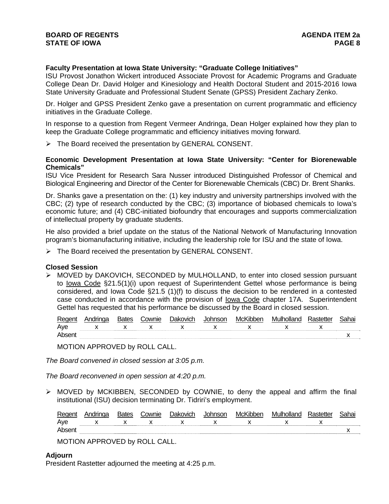# **Faculty Presentation at Iowa State University: "Graduate College Initiatives"**

ISU Provost Jonathon Wickert introduced Associate Provost for Academic Programs and Graduate College Dean Dr. David Holger and Kinesiology and Health Doctoral Student and 2015-2016 Iowa State University Graduate and Professional Student Senate (GPSS) President Zachary Zenko.

Dr. Holger and GPSS President Zenko gave a presentation on current programmatic and efficiency initiatives in the Graduate College.

In response to a question from Regent Vermeer Andringa, Dean Holger explained how they plan to keep the Graduate College programmatic and efficiency initiatives moving forward.

> The Board received the presentation by GENERAL CONSENT.

# **Economic Development Presentation at Iowa State University: "Center for Biorenewable Chemicals"**

ISU Vice President for Research Sara Nusser introduced Distinguished Professor of Chemical and Biological Engineering and Director of the Center for Biorenewable Chemicals (CBC) Dr. Brent Shanks.

Dr. Shanks gave a presentation on the: (1) key industry and university partnerships involved with the CBC; (2) type of research conducted by the CBC; (3) importance of biobased chemicals to Iowa's economic future; and (4) CBC-initiated biofoundry that encourages and supports commercialization of intellectual property by graduate students.

He also provided a brief update on the status of the National Network of Manufacturing Innovation program's biomanufacturing initiative, including the leadership role for ISU and the state of Iowa.

 $\triangleright$  The Board received the presentation by GENERAL CONSENT.

# **Closed Session**

 MOVED by DAKOVICH, SECONDED by MULHOLLAND, to enter into closed session pursuant to Iowa Code §21.5(1)(i) upon request of Superintendent Gettel whose performance is being considered, and Iowa Code §21.5 (1)(f) to discuss the decision to be rendered in a contested case conducted in accordance with the provision of Iowa Code chapter 17A. Superintendent Gettel has requested that his performance be discussed by the Board in closed session.

| Regent | Andringa | Bates | Cownie | Dakovich | Johnson | McKibben | Mulholland | Rastetter | Sahai |
|--------|----------|-------|--------|----------|---------|----------|------------|-----------|-------|
| Aye    |          |       |        |          |         |          |            |           |       |
| Absent |          |       |        |          |         |          |            |           |       |

MOTION APPROVED by ROLL CALL.

*The Board convened in closed session at 3:05 p.m.* 

*The Board reconvened in open session at 4:20 p.m.* 

 MOVED by MCKIBBEN, SECONDED by COWNIE, to deny the appeal and affirm the final institutional (ISU) decision terminating Dr. Tidriri's employment.

| Regent | Andringa | <b>Bates</b> | Cownie | Dakovich | Johnson | McKibben | Mulholland | Rastetter | Sahai |
|--------|----------|--------------|--------|----------|---------|----------|------------|-----------|-------|
| Ave    |          |              |        |          |         |          |            |           |       |
| Absent |          |              |        |          |         |          |            |           |       |

MOTION APPROVED by ROLL CALL.

# **Adjourn**

President Rastetter adjourned the meeting at 4:25 p.m.